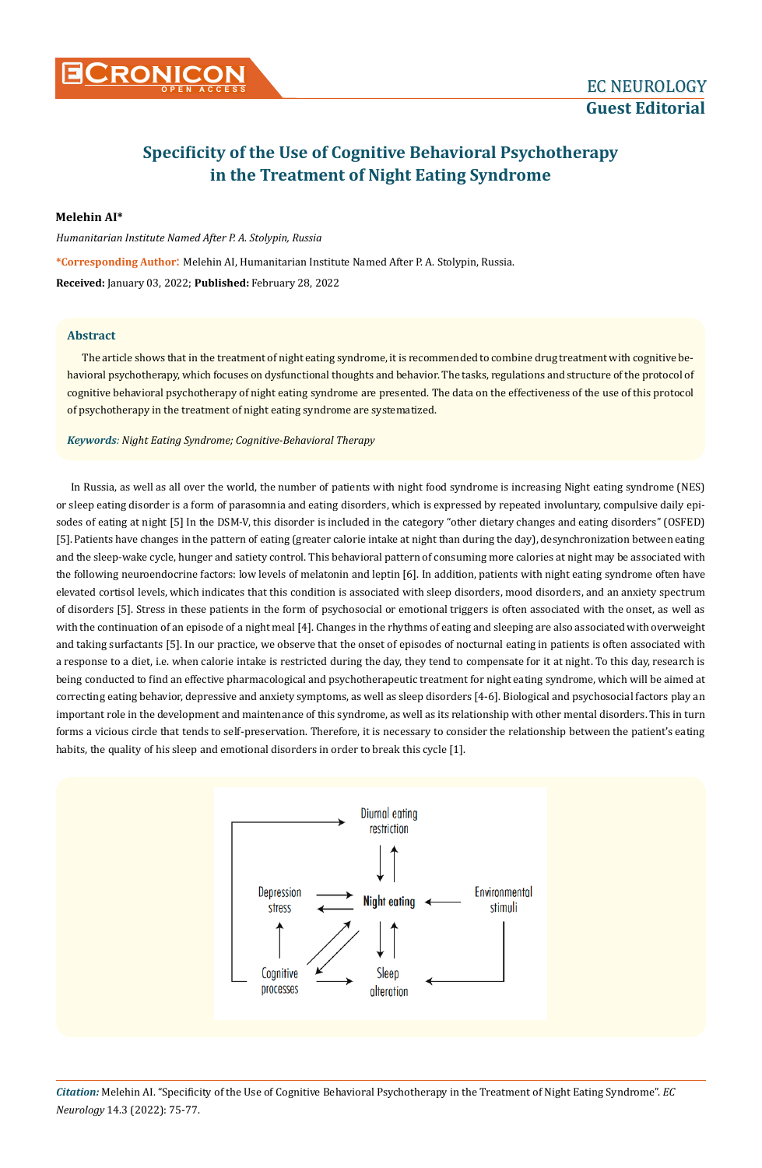

## **Specificity of the Use of Cognitive Behavioral Psychotherapy in the Treatment of Night Eating Syndrome**

**Melehin AI\***

*Humanitarian Institute Named After P. A. Stolypin, Russia*

**\*Corresponding Author**: Melehin AI, Humanitarian Institute Named After P. A. Stolypin, Russia. **Received:** January 03, 2022; **Published:** February 28, 2022

## **Abstract**

The article shows that in the treatment of night eating syndrome, it is recommended to combine drug treatment with cognitive behavioral psychotherapy, which focuses on dysfunctional thoughts and behavior. The tasks, regulations and structure of the protocol of cognitive behavioral psychotherapy of night eating syndrome are presented. The data on the effectiveness of the use of this protocol of psychotherapy in the treatment of night eating syndrome are systematized.

*Keywords: Night Eating Syndrome; Cognitive-Behavioral Therapy*

In Russia, as well as all over the world, the number of patients with night food syndrome is increasing Night eating syndrome (NES) or sleep eating disorder is a form of parasomnia and eating disorders, which is expressed by repeated involuntary, compulsive daily episodes of eating at night [5] In the DSM-V, this disorder is included in the category "other dietary changes and eating disorders" (OSFED) [5]. Patients have changes in the pattern of eating (greater calorie intake at night than during the day), desynchronization between eating and the sleep-wake cycle, hunger and satiety control. This behavioral pattern of consuming more calories at night may be associated with the following neuroendocrine factors: low levels of melatonin and leptin [6]. In addition, patients with night eating syndrome often have elevated cortisol levels, which indicates that this condition is associated with sleep disorders, mood disorders, and an anxiety spectrum of disorders [5]. Stress in these patients in the form of psychosocial or emotional triggers is often associated with the onset, as well as with the continuation of an episode of a night meal [4]. Changes in the rhythms of eating and sleeping are also associated with overweight and taking surfactants [5]. In our practice, we observe that the onset of episodes of nocturnal eating in patients is often associated with a response to a diet, i.e. when calorie intake is restricted during the day, they tend to compensate for it at night. To this day, research is being conducted to find an effective pharmacological and psychotherapeutic treatment for night eating syndrome, which will be aimed at correcting eating behavior, depressive and anxiety symptoms, as well as sleep disorders [4-6]. Biological and psychosocial factors play an important role in the development and maintenance of this syndrome, as well as its relationship with other mental disorders. This in turn forms a vicious circle that tends to self-preservation. Therefore, it is necessary to consider the relationship between the patient's eating habits, the quality of his sleep and emotional disorders in order to break this cycle [1].

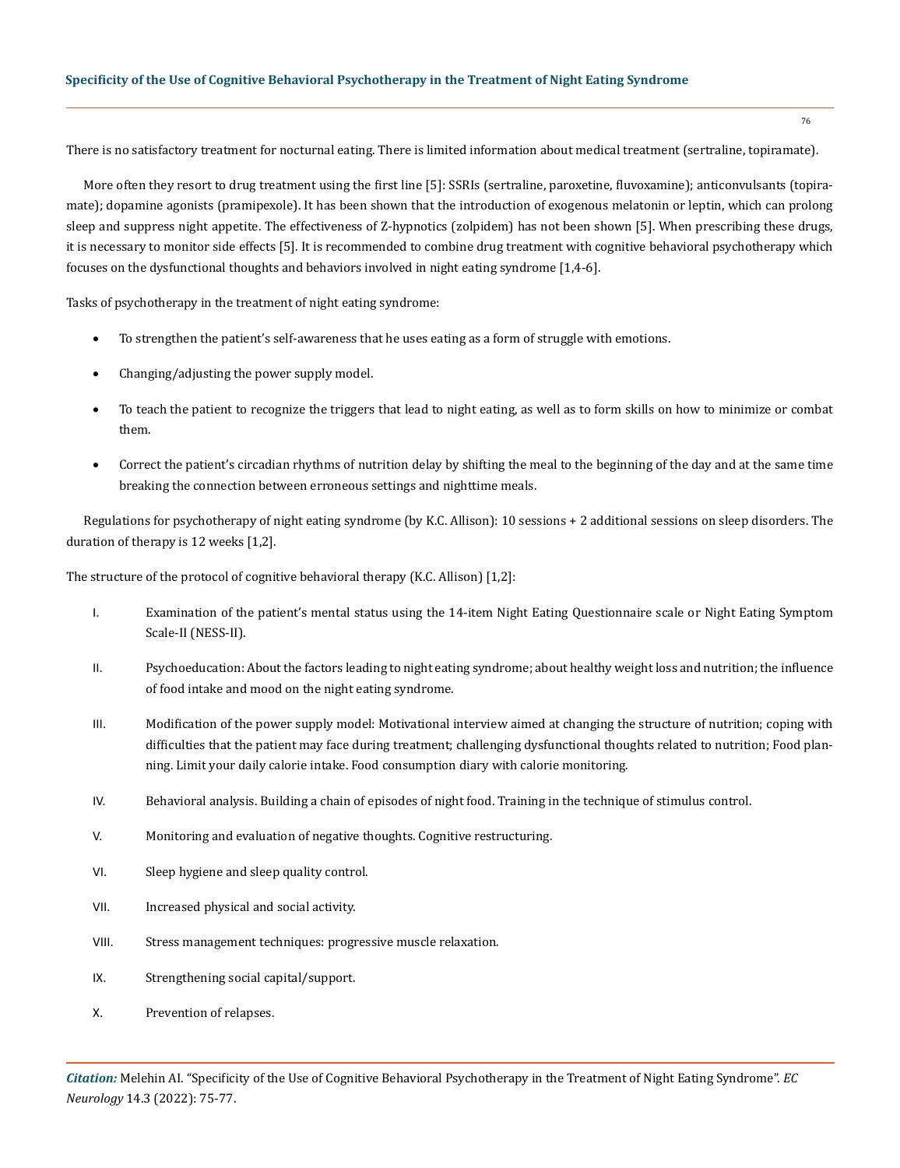There is no satisfactory treatment for nocturnal eating. There is limited information about medical treatment (sertraline, topiramate).

More often they resort to drug treatment using the first line [5]: SSRIs (sertraline, paroxetine, fluvoxamine); anticonvulsants (topiramate); dopamine agonists (pramipexole). It has been shown that the introduction of exogenous melatonin or leptin, which can prolong sleep and suppress night appetite. The effectiveness of Z-hypnotics (zolpidem) has not been shown [5]. When prescribing these drugs, it is necessary to monitor side effects [5]. It is recommended to combine drug treatment with cognitive behavioral psychotherapy which focuses on the dysfunctional thoughts and behaviors involved in night eating syndrome [1,4-6].

Tasks of psychotherapy in the treatment of night eating syndrome:

- To strengthen the patient's self-awareness that he uses eating as a form of struggle with emotions.
- Changing/adjusting the power supply model.
- To teach the patient to recognize the triggers that lead to night eating, as well as to form skills on how to minimize or combat them.
- Correct the patient's circadian rhythms of nutrition delay by shifting the meal to the beginning of the day and at the same time breaking the connection between erroneous settings and nighttime meals.

Regulations for psychotherapy of night eating syndrome (by K.C. Allison): 10 sessions + 2 additional sessions on sleep disorders. The duration of therapy is 12 weeks [1,2].

The structure of the protocol of cognitive behavioral therapy (K.C. Allison) [1,2]:

- I. Examination of the patient's mental status using the 14-item Night Eating Questionnaire scale or Night Eating Symptom Scale-II (NESS-II).
- II. Psychoeducation: About the factors leading to night eating syndrome; about healthy weight loss and nutrition; the influence of food intake and mood on the night eating syndrome.
- III. Modification of the power supply model: Motivational interview aimed at changing the structure of nutrition; coping with difficulties that the patient may face during treatment; challenging dysfunctional thoughts related to nutrition; Food planning. Limit your daily calorie intake. Food consumption diary with calorie monitoring.
- IV. Behavioral analysis. Building a chain of episodes of night food. Training in the technique of stimulus control.
- V. Monitoring and evaluation of negative thoughts. Cognitive restructuring.
- VI. Sleep hygiene and sleep quality control.
- VII. Increased physical and social activity.
- VIII. Stress management techniques: progressive muscle relaxation.
- IX. Strengthening social capital/support.
- X. Prevention of relapses.

76